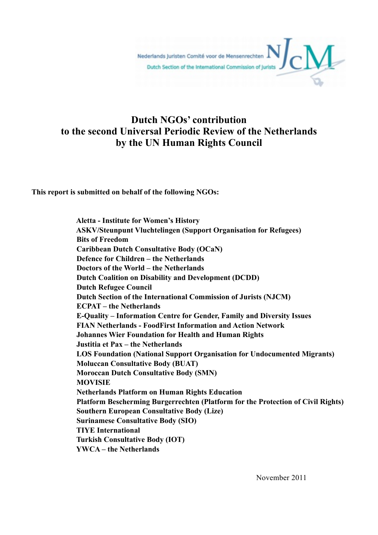Nederlands Juristen Comité voor de Mensenrechten Dutch Section of the International Commission of Jurists

# **Dutch NGOs' contribution to the second Universal Periodic Review of the Netherlands by the UN Human Rights Council**

**This report is submitted on behalf of the following NGOs:**

 **Aletta - Institute for Women's History ASKV/Steunpunt Vluchtelingen (Support Organisation for Refugees) Bits of Freedom Caribbean Dutch Consultative Body (OCaN) Defence for Children – the Netherlands Doctors of the World – the Netherlands Dutch Coalition on Disability and Development (DCDD) Dutch Refugee Council Dutch Section of the International Commission of Jurists (NJCM) ECPAT – the Netherlands E-Quality – Information Centre for Gender, Family and Diversity Issues FIAN Netherlands - FoodFirst Information and Action Network Johannes Wier Foundation for Health and Human Rights Justitia et Pax – the Netherlands LOS Foundation (National Support Organisation for Undocumented Migrants) Moluccan Consultative Body (BUAT) Moroccan Dutch Consultative Body (SMN) MOVISIE Netherlands Platform on Human Rights Education Platform Bescherming Burgerrechten (Platform for the Protection of Civil Rights) Southern European Consultative Body (Lize) Surinamese Consultative Body (SIO) TIYE International Turkish Consultative Body (IOT) YWCA – the Netherlands**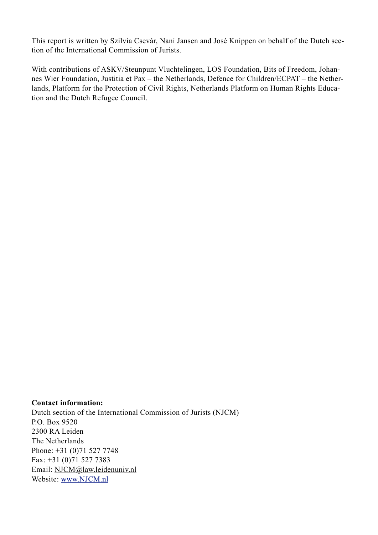This report is written by Szilvia Csevár, Nani Jansen and José Knippen on behalf of the Dutch section of the International Commission of Jurists.

With contributions of ASKV/Steunpunt Vluchtelingen, LOS Foundation, Bits of Freedom, Johannes Wier Foundation, Justitia et Pax – the Netherlands, Defence for Children/ECPAT – the Netherlands, Platform for the Protection of Civil Rights, Netherlands Platform on Human Rights Education and the Dutch Refugee Council.

#### **Contact information:**

Dutch section of the International Commission of Jurists (NJCM) P.O. Box 9520 2300 RA Leiden The Netherlands Phone: +31 (0)71 527 7748 Fax: +31 (0)71 527 7383 Email: [NJCM@law.leidenuniv.nl](mailto:njcm@law.leidenuniv.nl) Website: [www.NJCM.nl](http://www.njcm.nl)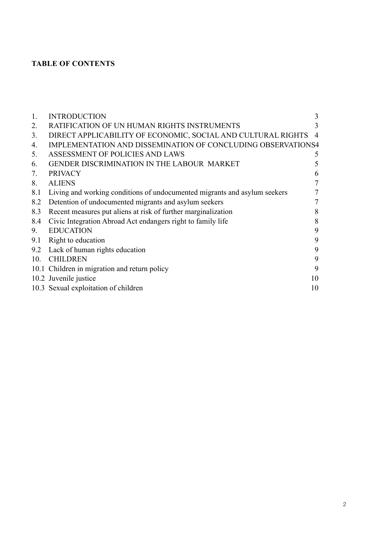### **TABLE OF CONTENTS**

| 1.             | <b>INTRODUCTION</b>                                                       | 3              |
|----------------|---------------------------------------------------------------------------|----------------|
| 2.             | RATIFICATION OF UN HUMAN RIGHTS INSTRUMENTS                               | 3              |
| 3 <sub>1</sub> | DIRECT APPLICABILITY OF ECONOMIC, SOCIAL AND CULTURAL RIGHTS              | $\overline{4}$ |
| 4.             | IMPLEMENTATION AND DISSEMINATION OF CONCLUDING OBSERVATIONS4              |                |
| 5.             | ASSESSMENT OF POLICIES AND LAWS                                           | 5              |
| 6.             | GENDER DISCRIMINATION IN THE LABOUR MARKET                                | 5              |
| 7.             | <b>PRIVACY</b>                                                            | 6              |
| 8.             | <b>ALIENS</b>                                                             | $\tau$         |
| 8.1            | Living and working conditions of undocumented migrants and asylum seekers | 7              |
| 8.2            | Detention of undocumented migrants and asylum seekers                     | $\overline{7}$ |
| 8.3            | Recent measures put aliens at risk of further marginalization             | 8              |
| 8.4            | Civic Integration Abroad Act endangers right to family life               | 8              |
| 9.             | <b>EDUCATION</b>                                                          | 9              |
| 9.1            | Right to education                                                        | 9              |
| 9.2            | Lack of human rights education                                            | 9              |
| 10.            | <b>CHILDREN</b>                                                           | 9              |
|                | 10.1 Children in migration and return policy                              | 9              |
|                | 10.2 Juvenile justice                                                     | 10             |
|                | 10.3 Sexual exploitation of children                                      | 10             |
|                |                                                                           |                |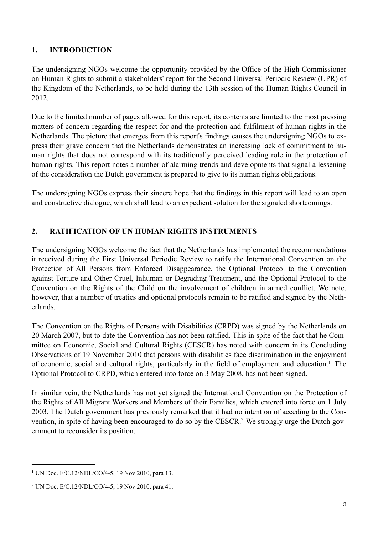#### <span id="page-3-0"></span>**1. INTRODUCTION**

The undersigning NGOs welcome the opportunity provided by the Office of the High Commissioner on Human Rights to submit a stakeholders' report for the Second Universal Periodic Review (UPR) of the Kingdom of the Netherlands, to be held during the 13th session of the Human Rights Council in 2012.

Due to the limited number of pages allowed for this report, its contents are limited to the most pressing matters of concern regarding the respect for and the protection and fulfilment of human rights in the Netherlands. The picture that emerges from this report's findings causes the undersigning NGOs to express their grave concern that the Netherlands demonstrates an increasing lack of commitment to human rights that does not correspond with its traditionally perceived leading role in the protection of human rights. This report notes a number of alarming trends and developments that signal a lessening of the consideration the Dutch government is prepared to give to its human rights obligations.

The undersigning NGOs express their sincere hope that the findings in this report will lead to an open and constructive dialogue, which shall lead to an expedient solution for the signaled shortcomings.

### <span id="page-3-1"></span>**2. RATIFICATION OF UN HUMAN RIGHTS INSTRUMENTS**

The undersigning NGOs welcome the fact that the Netherlands has implemented the recommendations it received during the First Universal Periodic Review to ratify the International Convention on the Protection of All Persons from Enforced Disappearance, the Optional Protocol to the Convention against Torture and Other Cruel, Inhuman or Degrading Treatment, and the Optional Protocol to the Convention on the Rights of the Child on the involvement of children in armed conflict. We note, however, that a number of treaties and optional protocols remain to be ratified and signed by the Netherlands.

The Convention on the Rights of Persons with Disabilities (CRPD) was signed by the Netherlands on 20 March 2007, but to date the Convention has not been ratified. This in spite of the fact that he Committee on Economic, Social and Cultural Rights (CESCR) has noted with concern in its Concluding Observations of 19 November 2010 that persons with disabilities face discrimination in the enjoyment of economic, social and cultural rights, particularly in the field of employment and education[.1](#page-3-2) The Optional Protocol to CRPD, which entered into force on 3 May 2008, has not been signed.

In similar vein, the Netherlands has not yet signed the International Convention on the Protection of the Rights of All Migrant Workers and Members of their Families, which entered into force on 1 July 2003. The Dutch government has previously remarked that it had no intention of acceding to the Convention, in spite of having been encouraged to do so by the CESCR.[2](#page-3-3) We strongly urge the Dutch government to reconsider its position.

<span id="page-3-2"></span><sup>&</sup>lt;sup>1</sup> UN Doc. E/C.12/NDL/CO/4-5, 19 Nov 2010, para 13.

<span id="page-3-3"></span><sup>2</sup> UN Doc. E/C.12/NDL/CO/4-5, 19 Nov 2010, para 41.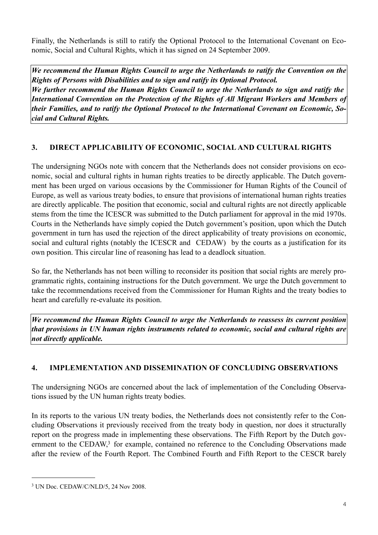Finally, the Netherlands is still to ratify the Optional Protocol to the International Covenant on Economic, Social and Cultural Rights, which it has signed on 24 September 2009.

*We recommend the Human Rights Council to urge the Netherlands to ratify the Convention on the Rights of Persons with Disabilities and to sign and ratify its Optional Protocol. We further recommend the Human Rights Council to urge the Netherlands to sign and ratify the International Convention on the Protection of the Rights of All Migrant Workers and Members of their Families, and to ratify the Optional Protocol to the International Covenant on Economic, Social and Cultural Rights.*

### <span id="page-4-0"></span>**3. DIRECT APPLICABILITY OF ECONOMIC, SOCIAL AND CULTURAL RIGHTS**

The undersigning NGOs note with concern that the Netherlands does not consider provisions on economic, social and cultural rights in human rights treaties to be directly applicable. The Dutch government has been urged on various occasions by the Commissioner for Human Rights of the Council of Europe, as well as various treaty bodies, to ensure that provisions of international human rights treaties are directly applicable. The position that economic, social and cultural rights are not directly applicable stems from the time the ICESCR was submitted to the Dutch parliament for approval in the mid 1970s. Courts in the Netherlands have simply copied the Dutch government's position, upon which the Dutch government in turn has used the rejection of the direct applicability of treaty provisions on economic, social and cultural rights (notably the ICESCR and CEDAW) by the courts as a justification for its own position. This circular line of reasoning has lead to a deadlock situation.

So far, the Netherlands has not been willing to reconsider its position that social rights are merely programmatic rights, containing instructions for the Dutch government. We urge the Dutch government to take the recommendations received from the Commissioner for Human Rights and the treaty bodies to heart and carefully re-evaluate its position.

*We recommend the Human Rights Council to urge the Netherlands to reassess its current position that provisions in UN human rights instruments related to economic, social and cultural rights are not directly applicable.*

### <span id="page-4-1"></span>**4. IMPLEMENTATION AND DISSEMINATION OF CONCLUDING OBSERVATIONS**

The undersigning NGOs are concerned about the lack of implementation of the Concluding Observations issued by the UN human rights treaty bodies.

In its reports to the various UN treaty bodies, the Netherlands does not consistently refer to the Concluding Observations it previously received from the treaty body in question, nor does it structurally report on the progress made in implementing these observations. The Fifth Report by the Dutch government to the CEDAW,<sup>3</sup> for example, contained no reference to the Concluding Observations made after the review of the Fourth Report. The Combined Fourth and Fifth Report to the CESCR barely

<span id="page-4-2"></span><sup>3</sup> UN Doc. CEDAW/C/NLD/5, 24 Nov 2008.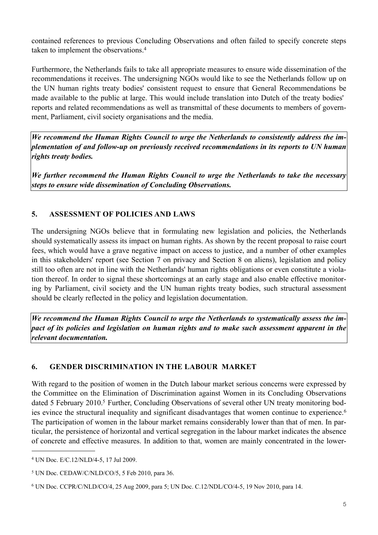contained references to previous Concluding Observations and often failed to specify concrete steps taken to implement the observations.[4](#page-5-2)

Furthermore, the Netherlands fails to take all appropriate measures to ensure wide dissemination of the recommendations it receives. The undersigning NGOs would like to see the Netherlands follow up on the UN human rights treaty bodies' consistent request to ensure that General Recommendations be made available to the public at large. This would include translation into Dutch of the treaty bodies' reports and related recommendations as well as transmittal of these documents to members of government, Parliament, civil society organisations and the media.

*We recommend the Human Rights Council to urge the Netherlands to consistently address the implementation of and follow-up on previously received recommendations in its reports to UN human rights treaty bodies.*

*We further recommend the Human Rights Council to urge the Netherlands to take the necessary steps to ensure wide dissemination of Concluding Observations.*

#### <span id="page-5-0"></span>**5. ASSESSMENT OF POLICIES AND LAWS**

The undersigning NGOs believe that in formulating new legislation and policies, the Netherlands should systematically assess its impact on human rights. As shown by the recent proposal to raise court fees, which would have a grave negative impact on access to justice, and a number of other examples in this stakeholders' report (see Section 7 on privacy and Section 8 on aliens), legislation and policy still too often are not in line with the Netherlands' human rights obligations or even constitute a violation thereof. In order to signal these shortcomings at an early stage and also enable effective monitoring by Parliament, civil society and the UN human rights treaty bodies, such structural assessment should be clearly reflected in the policy and legislation documentation.

*We recommend the Human Rights Council to urge the Netherlands to systematically assess the impact of its policies and legislation on human rights and to make such assessment apparent in the relevant documentation.*

#### <span id="page-5-1"></span>**6. GENDER DISCRIMINATION IN THE LABOUR MARKET**

With regard to the position of women in the Dutch labour market serious concerns were expressed by the Committee on the Elimination of Discrimination against Women in its Concluding Observations dated 5 February 2010.<sup>5</sup> Further, Concluding Observations of several other UN treaty monitoring bod-ies evince the structural inequality and significant disadvantages that women continue to experience.<sup>[6](#page-5-4)</sup> The participation of women in the labour market remains considerably lower than that of men. In particular, the persistence of horizontal and vertical segregation in the labour market indicates the absence of concrete and effective measures. In addition to that, women are mainly concentrated in the lower-

<span id="page-5-2"></span><sup>4</sup> UN Doc. E/C.12/NLD/4-5, 17 Jul 2009.

<span id="page-5-3"></span><sup>5</sup> UN Doc. CEDAW/C/NLD/CO/5, 5 Feb 2010, para 36.

<span id="page-5-4"></span><sup>6</sup> UN Doc. CCPR/C/NLD/CO/4, 25 Aug 2009, para 5; UN Doc. C.12/NDL/CO/4-5, 19 Nov 2010, para 14.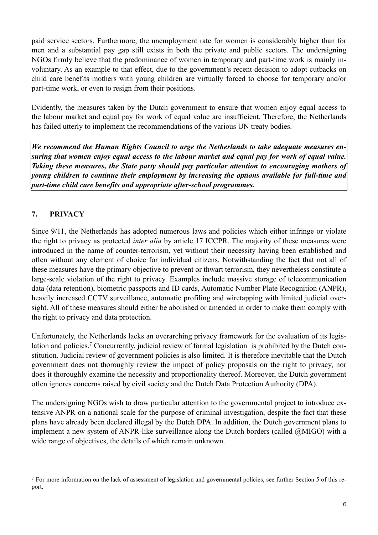paid service sectors. Furthermore, the unemployment rate for women is considerably higher than for men and a substantial pay gap still exists in both the private and public sectors. The undersigning NGOs firmly believe that the predominance of women in temporary and part-time work is mainly involuntary. As an example to that effect, due to the government's recent decision to adopt cutbacks on child care benefits mothers with young children are virtually forced to choose for temporary and/or part-time work, or even to resign from their positions.

Evidently, the measures taken by the Dutch government to ensure that women enjoy equal access to the labour market and equal pay for work of equal value are insufficient. Therefore, the Netherlands has failed utterly to implement the recommendations of the various UN treaty bodies.

*We recommend the Human Rights Council to urge the Netherlands to take adequate measures ensuring that women enjoy equal access to the labour market and equal pay for work of equal value. Taking these measures, the State party should pay particular attention to encouraging mothers of young children to continue their employment by increasing the options available for full-time and part-time child care benefits and appropriate after-school programmes.*

### <span id="page-6-0"></span>**7. PRIVACY**

Since 9/11, the Netherlands has adopted numerous laws and policies which either infringe or violate the right to privacy as protected *inter alia* by article 17 ICCPR. The majority of these measures were introduced in the name of counter-terrorism, yet without their necessity having been established and often without any element of choice for individual citizens. Notwithstanding the fact that not all of these measures have the primary objective to prevent or thwart terrorism, they nevertheless constitute a large-scale violation of the right to privacy. Examples include massive storage of telecommunication data (data retention), biometric passports and ID cards, Automatic Number Plate Recognition (ANPR), heavily increased CCTV surveillance, automatic profiling and wiretapping with limited judicial oversight. All of these measures should either be abolished or amended in order to make them comply with the right to privacy and data protection.

Unfortunately, the Netherlands lacks an overarching privacy framework for the evaluation of its legislation and policies.<sup>7</sup> Concurrently, judicial review of formal legislation is prohibited by the Dutch constitution. Judicial review of government policies is also limited. It is therefore inevitable that the Dutch government does not thoroughly review the impact of policy proposals on the right to privacy, nor does it thoroughly examine the necessity and proportionality thereof. Moreover, the Dutch government often ignores concerns raised by civil society and the Dutch Data Protection Authority (DPA).

The undersigning NGOs wish to draw particular attention to the governmental project to introduce extensive ANPR on a national scale for the purpose of criminal investigation, despite the fact that these plans have already been declared illegal by the Dutch DPA. In addition, the Dutch government plans to implement a new system of ANPR-like surveillance along the Dutch borders (called @MIGO) with a wide range of objectives, the details of which remain unknown.

<span id="page-6-1"></span><sup>7</sup> For more information on the lack of assessment of legislation and governmental policies, see further Section 5 of this report.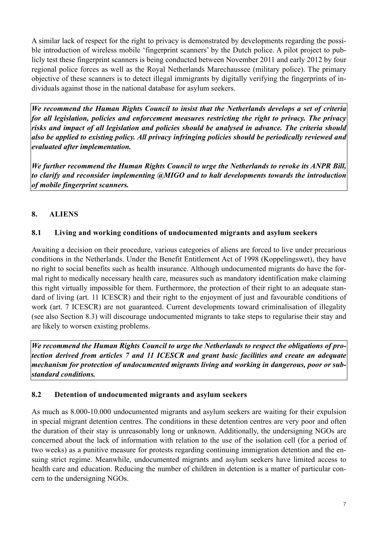A similar lack of respect for the right to privacy is demonstrated by developments regarding the possible introduction of wireless mobile 'fingerprint scanners' by the Dutch police. A pilot project to publicly test these fingerprint scanners is being conducted between November 2011 and early 2012 by four regional police forces as well as the Royal Netherlands Marechaussee (military police). The primary objective of these scanners is to detect illegal immigrants by digitally verifying the fingerprints of individuals against those in the national database for asylum seekers.

*We recommend the Human Rights Council to insist that the Netherlands develops a set of criteria for all legislation, policies and enforcement measures restricting the right to privacy. The privacy risks and impact of all legislation and policies should be analysed in advance. The criteria should also be applied to existing policy. All privacy infringing policies should be periodically reviewed and evaluated after implementation.* 

*We further recommend the Human Rights Council to urge the Netherlands to revoke its ANPR Bill, to clarify and reconsider implementing @MIGO and to halt developments towards the introduction of mobile fingerprint scanners.*

### <span id="page-7-0"></span>**8. ALIENS**

### <span id="page-7-1"></span>**8.1 Living and working conditions of undocumented migrants and asylum seekers**

Awaiting a decision on their procedure, various categories of aliens are forced to live under precarious conditions in the Netherlands. Under the Benefit Entitlement Act of 1998 (Koppelingswet), they have no right to social benefits such as health insurance. Although undocumented migrants do have the formal right to medically necessary health care, measures such as mandatory identification make claiming this right virtually impossible for them. Furthermore, the protection of their right to an adequate standard of living (art. 11 ICESCR) and their right to the enjoyment of just and favourable conditions of work (art. 7 ICESCR) are not guaranteed. Current developments toward criminalisation of illegality (see also Section 8.3) will discourage undocumented migrants to take steps to regularise their stay and are likely to worsen existing problems.

*We recommend the Human Rights Council to urge the Netherlands to respect the obligations of protection derived from articles 7 and 11 ICESCR and grant basic facilities and create an adequate mechanism for protection of undocumented migrants living and working in dangerous, poor or substandard conditions.*

#### <span id="page-7-2"></span>**8.2 Detention of undocumented migrants and asylum seekers**

As much as 8.000-10.000 undocumented migrants and asylum seekers are waiting for their expulsion in special migrant detention centres. The conditions in these detention centres are very poor and often the duration of their stay is unreasonably long or unknown. Additionally, the undersigning NGOs are concerned about the lack of information with relation to the use of the isolation cell (for a period of two weeks) as a punitive measure for protests regarding continuing immigration detention and the ensuing strict regime. Meanwhile, undocumented migrants and asylum seekers have limited access to health care and education. Reducing the number of children in detention is a matter of particular concern to the undersigning NGOs.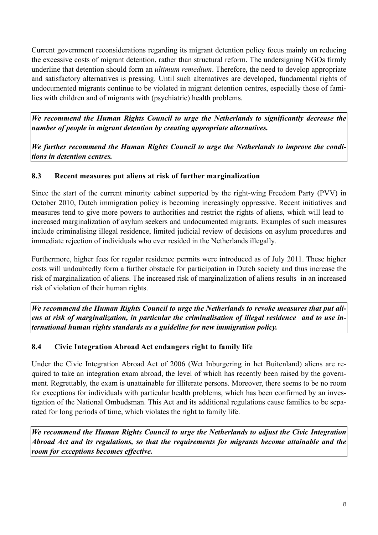Current government reconsiderations regarding its migrant detention policy focus mainly on reducing the excessive costs of migrant detention, rather than structural reform. The undersigning NGOs firmly underline that detention should form an *ultimum remedium*. Therefore, the need to develop appropriate and satisfactory alternatives is pressing. Until such alternatives are developed, fundamental rights of undocumented migrants continue to be violated in migrant detention centres, especially those of families with children and of migrants with (psychiatric) health problems.

*We recommend the Human Rights Council to urge the Netherlands to significantly decrease the number of people in migrant detention by creating appropriate alternatives.*

*We further recommend the Human Rights Council to urge the Netherlands to improve the conditions in detention centres.*

### <span id="page-8-0"></span>**8.3 Recent measures put aliens at risk of further marginalization**

Since the start of the current minority cabinet supported by the right-wing Freedom Party (PVV) in October 2010, Dutch immigration policy is becoming increasingly oppressive. Recent initiatives and measures tend to give more powers to authorities and restrict the rights of aliens, which will lead to increased marginalization of asylum seekers and undocumented migrants. Examples of such measures include criminalising illegal residence, limited judicial review of decisions on asylum procedures and immediate rejection of individuals who ever resided in the Netherlands illegally.

Furthermore, higher fees for regular residence permits were introduced as of July 2011. These higher costs will undoubtedly form a further obstacle for participation in Dutch society and thus increase the risk of marginalization of aliens. The increased risk of marginalization of aliens results in an increased risk of violation of their human rights.

*We recommend the Human Rights Council to urge the Netherlands to revoke measures that put aliens at risk of marginalization, in particular the criminalisation of illegal residence and to use international human rights standards as a guideline for new immigration policy.*

## <span id="page-8-1"></span>**8.4 Civic Integration Abroad Act endangers right to family life**

Under the Civic Integration Abroad Act of 2006 (Wet Inburgering in het Buitenland) aliens are required to take an integration exam abroad, the level of which has recently been raised by the government. Regrettably, the exam is unattainable for illiterate persons. Moreover, there seems to be no room for exceptions for individuals with particular health problems, which has been confirmed by an investigation of the National Ombudsman. This Act and its additional regulations cause families to be separated for long periods of time, which violates the right to family life.

*We recommend the Human Rights Council to urge the Netherlands to adjust the Civic Integration Abroad Act and its regulations, so that the requirements for migrants become attainable and the room for exceptions becomes effective.*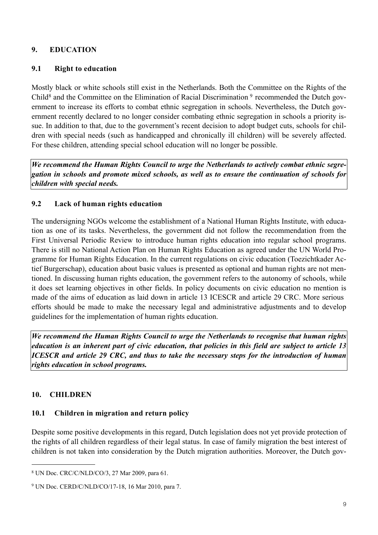#### <span id="page-9-0"></span>**9. EDUCATION**

#### <span id="page-9-1"></span>**9.1 Right to education**

Mostly black or white schools still exist in the Netherlands. Both the Committee on the Rights of the Child<sup>8</sup> and the Committee on the Elimination of Racial Discrimination  $9$  recommended the Dutch government to increase its efforts to combat ethnic segregation in schools. Nevertheless, the Dutch government recently declared to no longer consider combating ethnic segregation in schools a priority issue. In addition to that, due to the government's recent decision to adopt budget cuts, schools for children with special needs (such as handicapped and chronically ill children) will be severely affected. For these children, attending special school education will no longer be possible.

*We recommend the Human Rights Council to urge the Netherlands to actively combat ethnic segregation in schools and promote mixed schools, as well as to ensure the continuation of schools for children with special needs.*

#### <span id="page-9-2"></span>**9.2 Lack of human rights education**

The undersigning NGOs welcome the establishment of a National Human Rights Institute, with education as one of its tasks. Nevertheless, the government did not follow the recommendation from the First Universal Periodic Review to introduce human rights education into regular school programs. There is still no National Action Plan on Human Rights Education as agreed under the UN World Programme for Human Rights Education. In the current regulations on civic education (Toezichtkader Actief Burgerschap), education about basic values is presented as optional and human rights are not mentioned. In discussing human rights education, the government refers to the autonomy of schools, while it does set learning objectives in other fields. In policy documents on civic education no mention is made of the aims of education as laid down in article 13 ICESCR and article 29 CRC. More serious efforts should be made to make the necessary legal and administrative adjustments and to develop guidelines for the implementation of human rights education.

*We recommend the Human Rights Council to urge the Netherlands to recognise that human rights education is an inherent part of civic education, that policies in this field are subject to article 13 ICESCR and article 29 CRC, and thus to take the necessary steps for the introduction of human rights education in school programs.*

#### <span id="page-9-3"></span>**10. CHILDREN**

#### <span id="page-9-4"></span>**10.1 Children in migration and return policy**

Despite some positive developments in this regard, Dutch legislation does not yet provide protection of the rights of all children regardless of their legal status. In case of family migration the best interest of children is not taken into consideration by the Dutch migration authorities. Moreover, the Dutch gov-

<span id="page-9-5"></span><sup>8</sup> UN Doc. CRC/C/NLD/CO/3, 27 Mar 2009, para 61.

<span id="page-9-6"></span><sup>9</sup> UN Doc. CERD/C/NLD/CO/17-18, 16 Mar 2010, para 7.